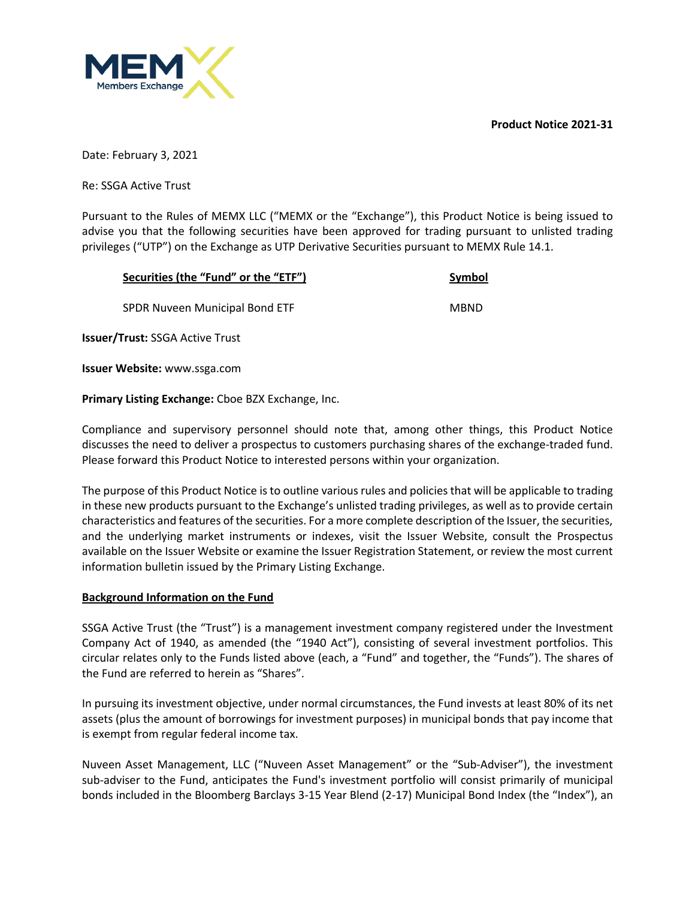**Product Notice 2021-31**



Date: February 3, 2021

Re: SSGA Active Trust

Pursuant to the Rules of MEMX LLC ("MEMX or the "Exchange"), this Product Notice is being issued to advise you that the following securities have been approved for trading pursuant to unlisted trading privileges ("UTP") on the Exchange as UTP Derivative Securities pursuant to MEMX Rule 14.1.

| Securities (the "Fund" or the "ETF")   | Symbol      |
|----------------------------------------|-------------|
| SPDR Nuveen Municipal Bond ETF         | <b>MBND</b> |
| <b>Issuer/Trust: SSGA Active Trust</b> |             |
| <b>Issuer Website: www.ssga.com</b>    |             |

**Primary Listing Exchange:** Cboe BZX Exchange, Inc.

Compliance and supervisory personnel should note that, among other things, this Product Notice discusses the need to deliver a prospectus to customers purchasing shares of the exchange-traded fund. Please forward this Product Notice to interested persons within your organization.

The purpose of this Product Notice is to outline various rules and policies that will be applicable to trading in these new products pursuant to the Exchange's unlisted trading privileges, as well as to provide certain characteristics and features of the securities. For a more complete description of the Issuer, the securities, and the underlying market instruments or indexes, visit the Issuer Website, consult the Prospectus available on the Issuer Website or examine the Issuer Registration Statement, or review the most current information bulletin issued by the Primary Listing Exchange.

## **Background Information on the Fund**

SSGA Active Trust (the "Trust") is a management investment company registered under the Investment Company Act of 1940, as amended (the "1940 Act"), consisting of several investment portfolios. This circular relates only to the Funds listed above (each, a "Fund" and together, the "Funds"). The shares of the Fund are referred to herein as "Shares".

In pursuing its investment objective, under normal circumstances, the Fund invests at least 80% of its net assets (plus the amount of borrowings for investment purposes) in municipal bonds that pay income that is exempt from regular federal income tax.

Nuveen Asset Management, LLC ("Nuveen Asset Management" or the "Sub-Adviser"), the investment sub-adviser to the Fund, anticipates the Fund's investment portfolio will consist primarily of municipal bonds included in the Bloomberg Barclays 3-15 Year Blend (2-17) Municipal Bond Index (the "Index"), an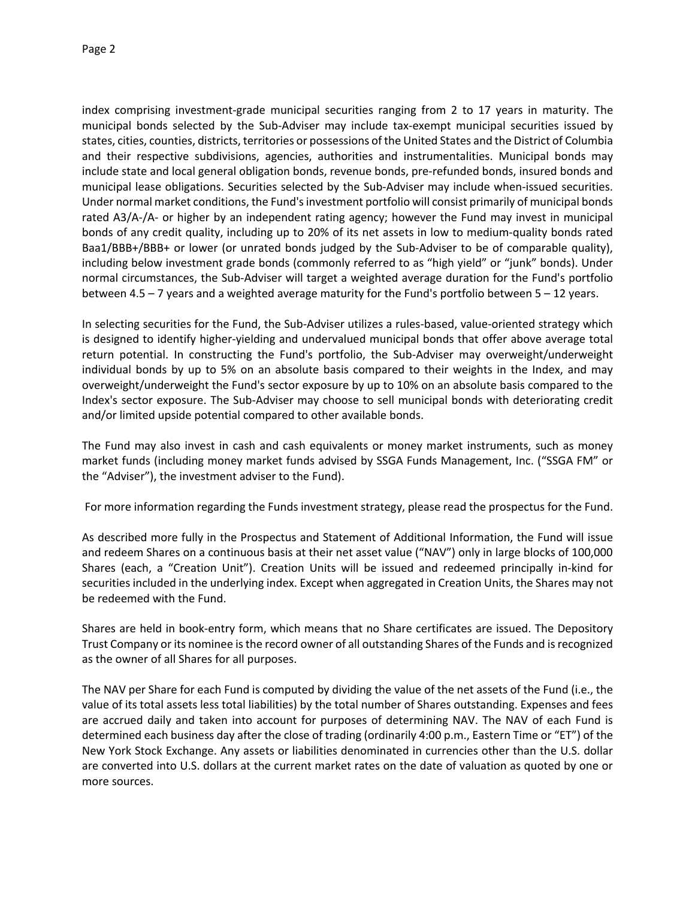index comprising investment-grade municipal securities ranging from 2 to 17 years in maturity. The municipal bonds selected by the Sub-Adviser may include tax-exempt municipal securities issued by states, cities, counties, districts, territories or possessions of the United States and the District of Columbia and their respective subdivisions, agencies, authorities and instrumentalities. Municipal bonds may include state and local general obligation bonds, revenue bonds, pre-refunded bonds, insured bonds and municipal lease obligations. Securities selected by the Sub-Adviser may include when-issued securities. Under normal market conditions, the Fund's investment portfolio will consist primarily of municipal bonds rated A3/A-/A- or higher by an independent rating agency; however the Fund may invest in municipal bonds of any credit quality, including up to 20% of its net assets in low to medium-quality bonds rated Baa1/BBB+/BBB+ or lower (or unrated bonds judged by the Sub-Adviser to be of comparable quality), including below investment grade bonds (commonly referred to as "high yield" or "junk" bonds). Under normal circumstances, the Sub-Adviser will target a weighted average duration for the Fund's portfolio between 4.5 – 7 years and a weighted average maturity for the Fund's portfolio between 5 – 12 years.

In selecting securities for the Fund, the Sub-Adviser utilizes a rules-based, value-oriented strategy which is designed to identify higher-yielding and undervalued municipal bonds that offer above average total return potential. In constructing the Fund's portfolio, the Sub-Adviser may overweight/underweight individual bonds by up to 5% on an absolute basis compared to their weights in the Index, and may overweight/underweight the Fund's sector exposure by up to 10% on an absolute basis compared to the Index's sector exposure. The Sub-Adviser may choose to sell municipal bonds with deteriorating credit and/or limited upside potential compared to other available bonds.

The Fund may also invest in cash and cash equivalents or money market instruments, such as money market funds (including money market funds advised by SSGA Funds Management, Inc. ("SSGA FM" or the "Adviser"), the investment adviser to the Fund).

For more information regarding the Funds investment strategy, please read the prospectus for the Fund.

As described more fully in the Prospectus and Statement of Additional Information, the Fund will issue and redeem Shares on a continuous basis at their net asset value ("NAV") only in large blocks of 100,000 Shares (each, a "Creation Unit"). Creation Units will be issued and redeemed principally in-kind for securities included in the underlying index. Except when aggregated in Creation Units, the Shares may not be redeemed with the Fund.

Shares are held in book-entry form, which means that no Share certificates are issued. The Depository Trust Company or its nominee is the record owner of all outstanding Shares of the Funds and is recognized as the owner of all Shares for all purposes.

The NAV per Share for each Fund is computed by dividing the value of the net assets of the Fund (i.e., the value of its total assets less total liabilities) by the total number of Shares outstanding. Expenses and fees are accrued daily and taken into account for purposes of determining NAV. The NAV of each Fund is determined each business day after the close of trading (ordinarily 4:00 p.m., Eastern Time or "ET") of the New York Stock Exchange. Any assets or liabilities denominated in currencies other than the U.S. dollar are converted into U.S. dollars at the current market rates on the date of valuation as quoted by one or more sources.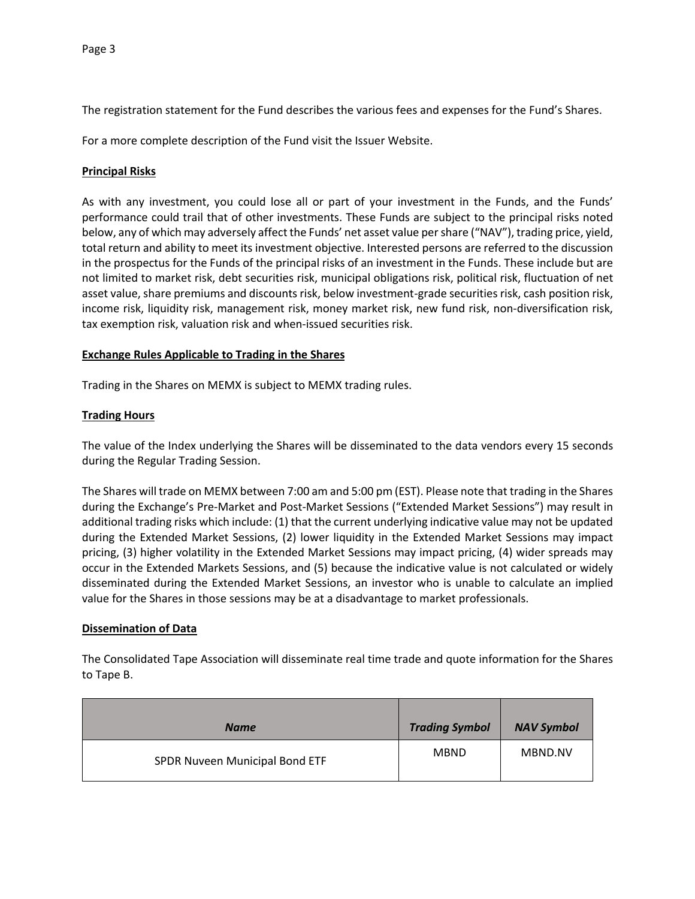The registration statement for the Fund describes the various fees and expenses for the Fund's Shares.

For a more complete description of the Fund visit the Issuer Website.

## **Principal Risks**

As with any investment, you could lose all or part of your investment in the Funds, and the Funds' performance could trail that of other investments. These Funds are subject to the principal risks noted below, any of which may adversely affect the Funds' net asset value per share ("NAV"), trading price, yield, total return and ability to meet its investment objective. Interested persons are referred to the discussion in the prospectus for the Funds of the principal risks of an investment in the Funds. These include but are not limited to market risk, debt securities risk, municipal obligations risk, political risk, fluctuation of net asset value, share premiums and discounts risk, below investment-grade securities risk, cash position risk, income risk, liquidity risk, management risk, money market risk, new fund risk, non-diversification risk, tax exemption risk, valuation risk and when-issued securities risk.

## **Exchange Rules Applicable to Trading in the Shares**

Trading in the Shares on MEMX is subject to MEMX trading rules.

## **Trading Hours**

The value of the Index underlying the Shares will be disseminated to the data vendors every 15 seconds during the Regular Trading Session.

The Shares will trade on MEMX between 7:00 am and 5:00 pm (EST). Please note that trading in the Shares during the Exchange's Pre-Market and Post-Market Sessions ("Extended Market Sessions") may result in additional trading risks which include: (1) that the current underlying indicative value may not be updated during the Extended Market Sessions, (2) lower liquidity in the Extended Market Sessions may impact pricing, (3) higher volatility in the Extended Market Sessions may impact pricing, (4) wider spreads may occur in the Extended Markets Sessions, and (5) because the indicative value is not calculated or widely disseminated during the Extended Market Sessions, an investor who is unable to calculate an implied value for the Shares in those sessions may be at a disadvantage to market professionals.

## **Dissemination of Data**

The Consolidated Tape Association will disseminate real time trade and quote information for the Shares to Tape B.

| <b>Name</b>                    | <b>Trading Symbol</b> | <b>NAV Symbol</b> |
|--------------------------------|-----------------------|-------------------|
| SPDR Nuveen Municipal Bond ETF | <b>MBND</b>           | MBND.NV           |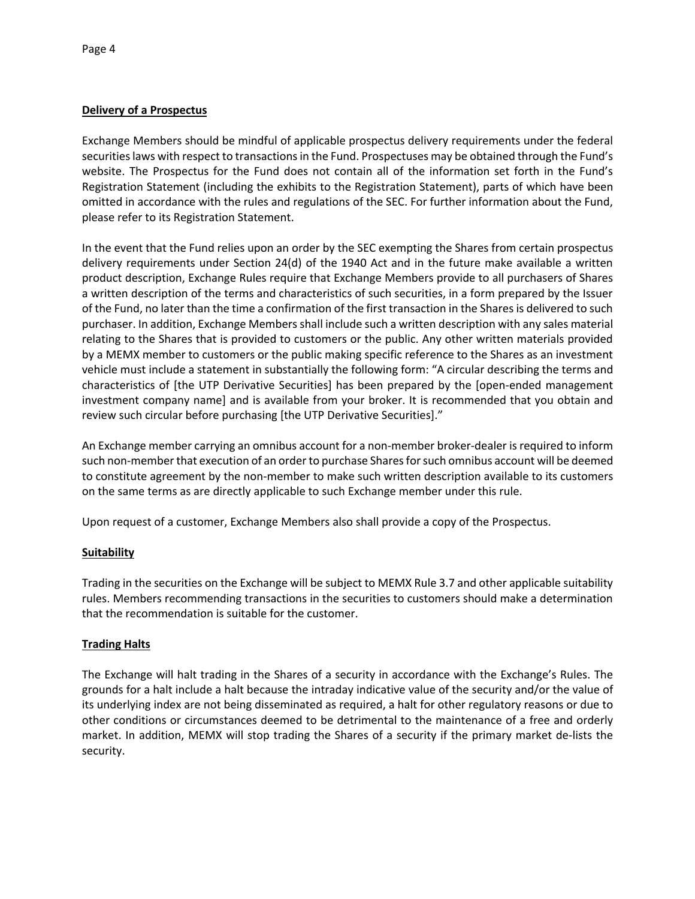## **Delivery of a Prospectus**

Exchange Members should be mindful of applicable prospectus delivery requirements under the federal securities laws with respect to transactions in the Fund. Prospectuses may be obtained through the Fund's website. The Prospectus for the Fund does not contain all of the information set forth in the Fund's Registration Statement (including the exhibits to the Registration Statement), parts of which have been omitted in accordance with the rules and regulations of the SEC. For further information about the Fund, please refer to its Registration Statement.

In the event that the Fund relies upon an order by the SEC exempting the Shares from certain prospectus delivery requirements under Section 24(d) of the 1940 Act and in the future make available a written product description, Exchange Rules require that Exchange Members provide to all purchasers of Shares a written description of the terms and characteristics of such securities, in a form prepared by the Issuer of the Fund, no later than the time a confirmation of the first transaction in the Shares is delivered to such purchaser. In addition, Exchange Members shall include such a written description with any sales material relating to the Shares that is provided to customers or the public. Any other written materials provided by a MEMX member to customers or the public making specific reference to the Shares as an investment vehicle must include a statement in substantially the following form: "A circular describing the terms and characteristics of [the UTP Derivative Securities] has been prepared by the [open-ended management investment company name] and is available from your broker. It is recommended that you obtain and review such circular before purchasing [the UTP Derivative Securities]."

An Exchange member carrying an omnibus account for a non-member broker-dealer is required to inform such non-member that execution of an order to purchase Shares for such omnibus account will be deemed to constitute agreement by the non-member to make such written description available to its customers on the same terms as are directly applicable to such Exchange member under this rule.

Upon request of a customer, Exchange Members also shall provide a copy of the Prospectus.

## **Suitability**

Trading in the securities on the Exchange will be subject to MEMX Rule 3.7 and other applicable suitability rules. Members recommending transactions in the securities to customers should make a determination that the recommendation is suitable for the customer.

# **Trading Halts**

The Exchange will halt trading in the Shares of a security in accordance with the Exchange's Rules. The grounds for a halt include a halt because the intraday indicative value of the security and/or the value of its underlying index are not being disseminated as required, a halt for other regulatory reasons or due to other conditions or circumstances deemed to be detrimental to the maintenance of a free and orderly market. In addition, MEMX will stop trading the Shares of a security if the primary market de-lists the security.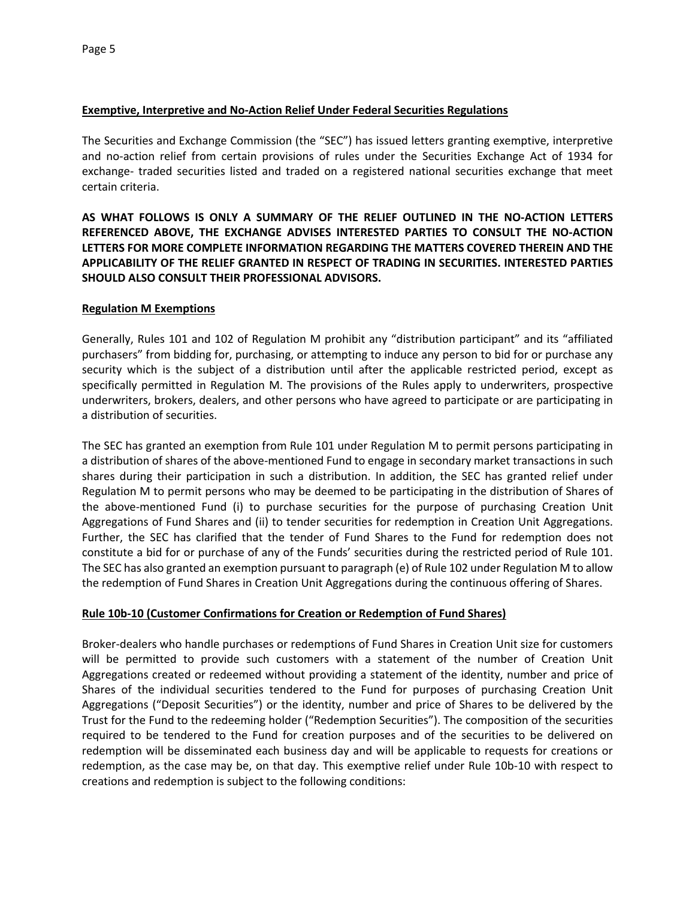## **Exemptive, Interpretive and No-Action Relief Under Federal Securities Regulations**

The Securities and Exchange Commission (the "SEC") has issued letters granting exemptive, interpretive and no-action relief from certain provisions of rules under the Securities Exchange Act of 1934 for exchange- traded securities listed and traded on a registered national securities exchange that meet certain criteria.

**AS WHAT FOLLOWS IS ONLY A SUMMARY OF THE RELIEF OUTLINED IN THE NO-ACTION LETTERS REFERENCED ABOVE, THE EXCHANGE ADVISES INTERESTED PARTIES TO CONSULT THE NO-ACTION LETTERS FOR MORE COMPLETE INFORMATION REGARDING THE MATTERS COVERED THEREIN AND THE APPLICABILITY OF THE RELIEF GRANTED IN RESPECT OF TRADING IN SECURITIES. INTERESTED PARTIES SHOULD ALSO CONSULT THEIR PROFESSIONAL ADVISORS.**

#### **Regulation M Exemptions**

Generally, Rules 101 and 102 of Regulation M prohibit any "distribution participant" and its "affiliated purchasers" from bidding for, purchasing, or attempting to induce any person to bid for or purchase any security which is the subject of a distribution until after the applicable restricted period, except as specifically permitted in Regulation M. The provisions of the Rules apply to underwriters, prospective underwriters, brokers, dealers, and other persons who have agreed to participate or are participating in a distribution of securities.

The SEC has granted an exemption from Rule 101 under Regulation M to permit persons participating in a distribution of shares of the above-mentioned Fund to engage in secondary market transactions in such shares during their participation in such a distribution. In addition, the SEC has granted relief under Regulation M to permit persons who may be deemed to be participating in the distribution of Shares of the above-mentioned Fund (i) to purchase securities for the purpose of purchasing Creation Unit Aggregations of Fund Shares and (ii) to tender securities for redemption in Creation Unit Aggregations. Further, the SEC has clarified that the tender of Fund Shares to the Fund for redemption does not constitute a bid for or purchase of any of the Funds' securities during the restricted period of Rule 101. The SEC has also granted an exemption pursuant to paragraph (e) of Rule 102 under Regulation M to allow the redemption of Fund Shares in Creation Unit Aggregations during the continuous offering of Shares.

## **Rule 10b-10 (Customer Confirmations for Creation or Redemption of Fund Shares)**

Broker-dealers who handle purchases or redemptions of Fund Shares in Creation Unit size for customers will be permitted to provide such customers with a statement of the number of Creation Unit Aggregations created or redeemed without providing a statement of the identity, number and price of Shares of the individual securities tendered to the Fund for purposes of purchasing Creation Unit Aggregations ("Deposit Securities") or the identity, number and price of Shares to be delivered by the Trust for the Fund to the redeeming holder ("Redemption Securities"). The composition of the securities required to be tendered to the Fund for creation purposes and of the securities to be delivered on redemption will be disseminated each business day and will be applicable to requests for creations or redemption, as the case may be, on that day. This exemptive relief under Rule 10b-10 with respect to creations and redemption is subject to the following conditions: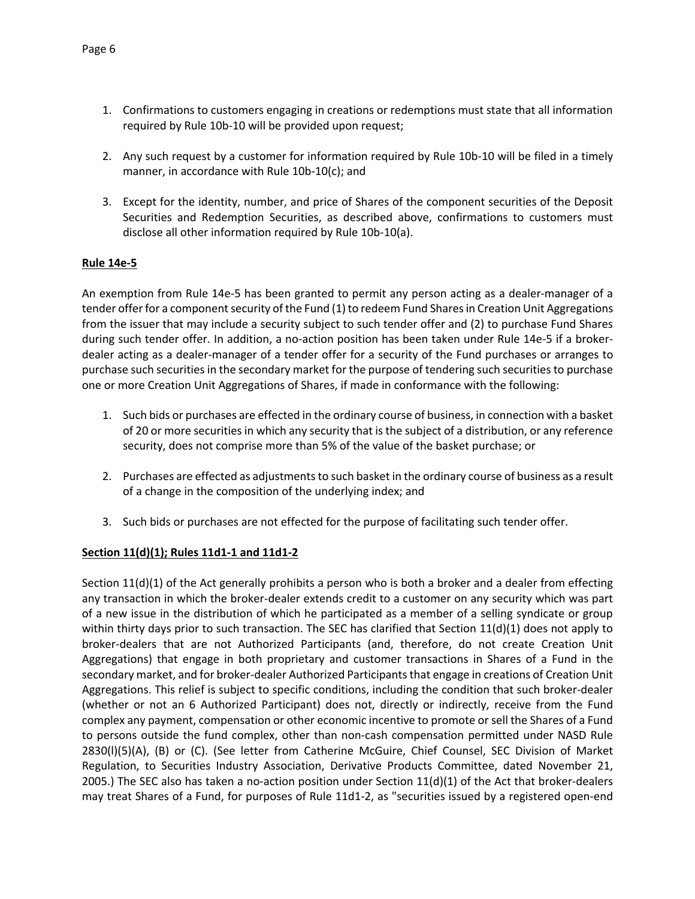- 1. Confirmations to customers engaging in creations or redemptions must state that all information required by Rule 10b-10 will be provided upon request;
- 2. Any such request by a customer for information required by Rule 10b-10 will be filed in a timely manner, in accordance with Rule 10b-10(c); and
- 3. Except for the identity, number, and price of Shares of the component securities of the Deposit Securities and Redemption Securities, as described above, confirmations to customers must disclose all other information required by Rule 10b-10(a).

#### **Rule 14e-5**

An exemption from Rule 14e-5 has been granted to permit any person acting as a dealer-manager of a tender offer for a component security of the Fund (1) to redeem Fund Shares in Creation Unit Aggregations from the issuer that may include a security subject to such tender offer and (2) to purchase Fund Shares during such tender offer. In addition, a no-action position has been taken under Rule 14e-5 if a brokerdealer acting as a dealer-manager of a tender offer for a security of the Fund purchases or arranges to purchase such securities in the secondary market for the purpose of tendering such securities to purchase one or more Creation Unit Aggregations of Shares, if made in conformance with the following:

- 1. Such bids or purchases are effected in the ordinary course of business, in connection with a basket of 20 or more securities in which any security that is the subject of a distribution, or any reference security, does not comprise more than 5% of the value of the basket purchase; or
- 2. Purchases are effected as adjustments to such basket in the ordinary course of business as a result of a change in the composition of the underlying index; and
- 3. Such bids or purchases are not effected for the purpose of facilitating such tender offer.

#### **Section 11(d)(1); Rules 11d1-1 and 11d1-2**

Section 11(d)(1) of the Act generally prohibits a person who is both a broker and a dealer from effecting any transaction in which the broker-dealer extends credit to a customer on any security which was part of a new issue in the distribution of which he participated as a member of a selling syndicate or group within thirty days prior to such transaction. The SEC has clarified that Section 11(d)(1) does not apply to broker-dealers that are not Authorized Participants (and, therefore, do not create Creation Unit Aggregations) that engage in both proprietary and customer transactions in Shares of a Fund in the secondary market, and for broker-dealer Authorized Participants that engage in creations of Creation Unit Aggregations. This relief is subject to specific conditions, including the condition that such broker-dealer (whether or not an 6 Authorized Participant) does not, directly or indirectly, receive from the Fund complex any payment, compensation or other economic incentive to promote or sell the Shares of a Fund to persons outside the fund complex, other than non-cash compensation permitted under NASD Rule 2830(l)(5)(A), (B) or (C). (See letter from Catherine McGuire, Chief Counsel, SEC Division of Market Regulation, to Securities Industry Association, Derivative Products Committee, dated November 21, 2005.) The SEC also has taken a no-action position under Section  $11(d)(1)$  of the Act that broker-dealers may treat Shares of a Fund, for purposes of Rule 11d1-2, as "securities issued by a registered open-end